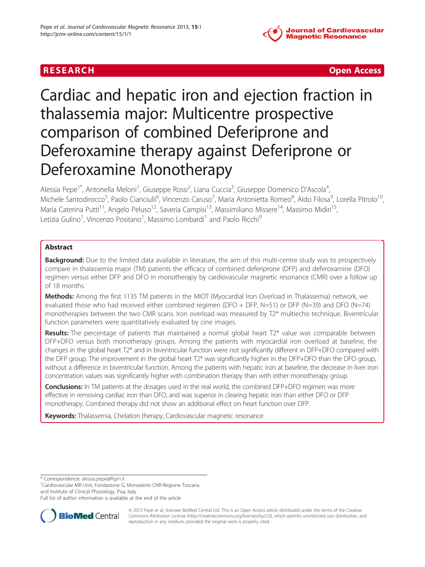# **Journal of Cardiovascular Magnetic Resonance**

**RESEARCH CHINESE ARCH CHINESE ARCHITECT AND ACCESS** 

# Cardiac and hepatic iron and ejection fraction in thalassemia major: Multicentre prospective comparison of combined Deferiprone and Deferoxamine therapy against Deferiprone or Deferoxamine Monotherapy

Alessia Pepe<sup>1\*</sup>, Antonella Meloni<sup>1</sup>, Giuseppe Rossi<sup>2</sup>, Liana Cuccia<sup>3</sup>, Giuseppe Domenico D'Ascola<sup>4</sup> , Michele Santodirocco<sup>5</sup>, Paolo Cianciulli<sup>6</sup>, Vincenzo Caruso<sup>7</sup>, Maria Antonietta Romeo<sup>8</sup>, Aldo Filosa<sup>9</sup>, Lorella Pitrolo<sup>10</sup>, Maria Caterina Putti<sup>11</sup>, Angelo Peluso<sup>12</sup>, Saveria Campisi<sup>13</sup>, Massimiliano Missere<sup>14</sup>, Massimo Midiri<sup>15</sup>, Letizia Gulino<sup>1</sup>, Vincenzo Positano<sup>1</sup>, Massimo Lombardi<sup>1</sup> and Paolo Ricchi<sup>9</sup>

# Abstract

Background: Due to the limited data available in literature, the aim of this multi-centre study was to prospectively compare in thalassemia major (TM) patients the efficacy of combined deferiprone (DFP) and deferoxamine (DFO) regimen versus either DFP and DFO in monotherapy by cardiovascular magnetic resonance (CMR) over a follow up of 18 months.

Methods: Among the first 1135 TM patients in the MIOT (Myocardial Iron Overload in Thalassemia) network, we evaluated those who had received either combined regimen (DFO + DFP, N=51) or DFP (N=39) and DFO (N=74) monotherapies between the two CMR scans. Iron overload was measured by T2\* multiecho technique. Biventricular function parameters were quantitatively evaluated by cine images.

Results: The percentage of patients that maintained a normal global heart T2\* value was comparable between DFP+DFO versus both monotherapy groups. Among the patients with myocardial iron overload at baseline, the changes in the global heart T2\* and in biventricular function were not significantly different in DFP+DFO compared with the DFP group. The improvement in the global heart T2\* was significantly higher in the DFP+DFO than the DFO group, without a difference in biventricular function. Among the patients with hepatic iron at baseline, the decrease in liver iron concentration values was significantly higher with combination therapy than with either monotherapy group.

Conclusions: In TM patients at the dosages used in the real world, the combined DFP+DFO regimen was more effective in removing cardiac iron than DFO, and was superior in clearing hepatic iron than either DFO or DFP monotherapy. Combined therapy did not show an additional effect on heart function over DFP.

Keywords: Thalassemia, Chelation therapy, Cardiovascular magnetic resonance

\* Correspondence: [alessia.pepe@ftgm.it](mailto:alessia.pepe@ftgm.it) <sup>1</sup>

<sup>1</sup> Cardiovascular MR Unit, Fondazione G, Monasterio CNR-Regione Toscana and Institute of Clinical Physiology, Pisa, Italy

Full list of author information is available at the end of the article



© 2013 Pepe et al.; licensee BioMed Central Ltd. This is an Open Access article distributed under the terms of the Creative Commons Attribution License [\(http://creativecommons.org/licenses/by/2.0\)](http://creativecommons.org/licenses/by/2.0), which permits unrestricted use, distribution, and reproduction in any medium, provided the original work is properly cited.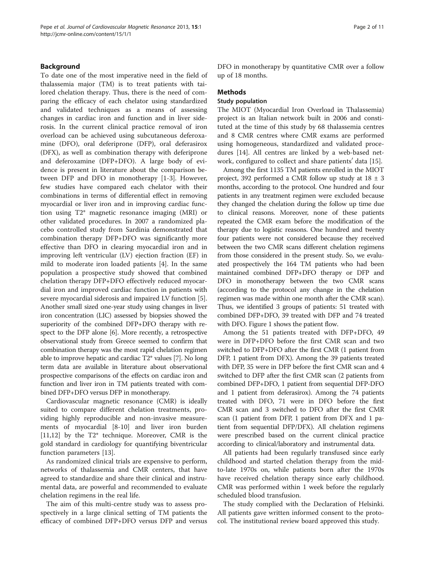#### Background

To date one of the most imperative need in the field of thalassemia major (TM) is to treat patients with tailored chelation therapy. Thus, there is the need of comparing the efficacy of each chelator using standardized and validated techniques as a means of assessing changes in cardiac iron and function and in liver siderosis. In the current clinical practice removal of iron overload can be achieved using subcutaneous deferoxamine (DFO), oral deferiprone (DFP), oral deferasirox (DFX), as well as combination therapy with deferiprone and deferoxamine (DFP+DFO). A large body of evidence is present in literature about the comparison between DFP and DFO in monotherapy [[1-3](#page-9-0)]. However, few studies have compared each chelator with their combinations in terms of differential effect in removing myocardial or liver iron and in improving cardiac function using T2\* magnetic resonance imaging (MRI) or other validated procedures. In 2007 a randomized placebo controlled study from Sardinia demonstrated that combination therapy DFP+DFO was significantly more effective than DFO in clearing myocardial iron and in improving left ventricular (LV) ejection fraction (EF) in mild to moderate iron loaded patients [[4\]](#page-9-0). In the same population a prospective study showed that combined chelation therapy DFP+DFO effectively reduced myocardial iron and improved cardiac function in patients with severe myocardial siderosis and impaired LV function [\[5](#page-9-0)]. Another small sized one-year study using changes in liver iron concentration (LIC) assessed by biopsies showed the superiority of the combined DFP+DFO therapy with respect to the DFP alone [[6](#page-9-0)]. More recently, a retrospective observational study from Greece seemed to confirm that combination therapy was the most rapid chelation regimen able to improve hepatic and cardiac T2\* values [\[7\]](#page-9-0). No long term data are available in literature about observational prospective comparisons of the effects on cardiac iron and function and liver iron in TM patients treated with combined DFP+DFO versus DFP in monotherapy.

Cardiovascular magnetic resonance (CMR) is ideally suited to compare different chelation treatments, providing highly reproducible and non-invasive measurements of myocardial [\[8](#page-9-0)-[10\]](#page-10-0) and liver iron burden [[11,12\]](#page-10-0) by the T2\* technique. Moreover, CMR is the gold standard in cardiology for quantifying biventricular function parameters [\[13](#page-10-0)].

As randomized clinical trials are expensive to perform, networks of thalassemia and CMR centers, that have agreed to standardize and share their clinical and instrumental data, are powerful and recommended to evaluate chelation regimens in the real life.

The aim of this multi-centre study was to assess prospectively in a large clinical setting of TM patients the efficacy of combined DFP+DFO versus DFP and versus DFO in monotherapy by quantitative CMR over a follow up of 18 months.

# Methods

#### Study population

The MIOT (Myocardial Iron Overload in Thalassemia) project is an Italian network built in 2006 and constituted at the time of this study by 68 thalassemia centres and 8 CMR centres where CMR exams are performed using homogeneous, standardized and validated procedures [[14\]](#page-10-0). All centres are linked by a web-based net-work, configured to collect and share patients' data [\[15\]](#page-10-0).

Among the first 1135 TM patients enrolled in the MIOT project, 392 performed a CMR follow up study at  $18 \pm 3$ months, according to the protocol. One hundred and four patients in any treatment regimen were excluded because they changed the chelation during the follow up time due to clinical reasons. Moreover, none of these patients repeated the CMR exam before the modification of the therapy due to logistic reasons. One hundred and twenty four patients were not considered because they received between the two CMR scans different chelation regimens from those considered in the present study. So, we evaluated prospectively the 164 TM patients who had been maintained combined DFP+DFO therapy or DFP and DFO in monotherapy between the two CMR scans (according to the protocol any change in the chelation regimen was made within one month after the CMR scan). Thus, we identified 3 groups of patients: 51 treated with combined DFP+DFO, 39 treated with DFP and 74 treated with DFO. Figure [1](#page-2-0) shows the patient flow.

Among the 51 patients treated with DFP+DFO, 49 were in DFP+DFO before the first CMR scan and two switched to DFP+DFO after the first CMR (1 patient from DFP, 1 patient from DFX). Among the 39 patients treated with DFP, 35 were in DFP before the first CMR scan and 4 switched to DFP after the first CMR scan (2 patients from combined DFP+DFO, 1 patient from sequential DFP-DFO and 1 patient from deferasirox). Among the 74 patients treated with DFO, 71 were in DFO before the first CMR scan and 3 switched to DFO after the first CMR scan (1 patient from DFP, 1 patient from DFX and 1 patient from sequential DFP/DFX). All chelation regimens were prescribed based on the current clinical practice according to clinical/laboratory and instrumental data.

All patients had been regularly transfused since early childhood and started chelation therapy from the midto-late 1970s on, while patients born after the 1970s have received chelation therapy since early childhood. CMR was performed within 1 week before the regularly scheduled blood transfusion.

The study complied with the Declaration of Helsinki. All patients gave written informed consent to the protocol. The institutional review board approved this study.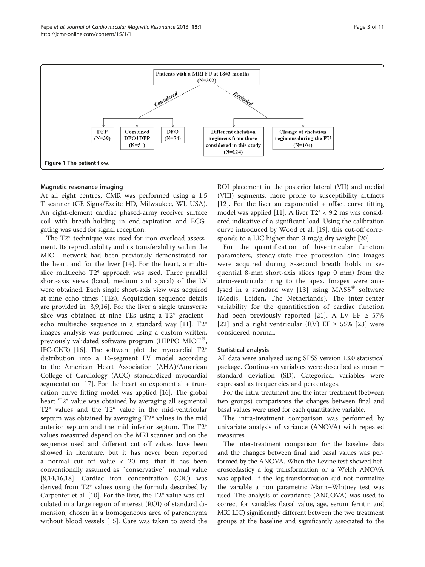<span id="page-2-0"></span>

#### Magnetic resonance imaging

At all eight centres, CMR was performed using a 1.5 T scanner (GE Signa/Excite HD, Milwaukee, WI, USA). An eight-element cardiac phased-array receiver surface coil with breath-holding in end-expiration and ECGgating was used for signal reception.

The T2\* technique was used for iron overload assessment. Its reproducibility and its transferability within the MIOT network had been previously demonstrated for the heart and for the liver [\[14](#page-10-0)]. For the heart, a multislice multiecho T2\* approach was used. Three parallel short-axis views (basal, medium and apical) of the LV were obtained. Each single short-axis view was acquired at nine echo times (TEs). Acquisition sequence details are provided in [[3,](#page-9-0)[9,16\]](#page-10-0). For the liver a single transverse slice was obtained at nine TEs using a T2\* gradient– echo multiecho sequence in a standard way [\[11](#page-10-0)]. T2\* images analysis was performed using a custom-written, previously validated software program (HIPPO  $MIOT^{\circledast}$ , IFC-CNR) [[16\]](#page-10-0). The software plot the myocardial T2\* distribution into a 16-segment LV model according to the American Heart Association (AHA)/American College of Cardiology (ACC) standardized myocardial segmentation  $[17]$ . For the heart an exponential + truncation curve fitting model was applied [[16](#page-10-0)]. The global heart T2\* value was obtained by averaging all segmental T2\* values and the T2\* value in the mid-ventricular septum was obtained by averaging T2\* values in the mid anterior septum and the mid inferior septum. The T2\* values measured depend on the MRI scanner and on the sequence used and different cut off values have been showed in literature, but it has never been reported a normal cut off value < 20 ms, that it has been conventionally assumed as ″conservative″ normal value [[8,](#page-9-0)[14,16,18\]](#page-10-0). Cardiac iron concentration (CIC) was derived from T2\* values using the formula described by Carpenter et al. [[10](#page-10-0)]. For the liver, the T2\* value was calculated in a large region of interest (ROI) of standard dimension, chosen in a homogeneous area of parenchyma without blood vessels [\[15\]](#page-10-0). Care was taken to avoid the ROI placement in the posterior lateral (VII) and medial (VIII) segments, more prone to susceptibility artifacts [[12\]](#page-10-0). For the liver an exponential  $+$  offset curve fitting model was applied [[11](#page-10-0)]. A liver  $T2^* < 9.2$  ms was considered indicative of a significant load. Using the calibration curve introduced by Wood et al. [[19](#page-10-0)], this cut-off corresponds to a LIC higher than 3 mg/g dry weight [[20](#page-10-0)].

For the quantification of biventricular function parameters, steady-state free procession cine images were acquired during 8-second breath holds in sequential 8-mm short-axis slices (gap 0 mm) from the atrio-ventricular ring to the apex. Images were ana-lysed in a standard way [\[13](#page-10-0)] using  $MASS^{\circledast}$  software (Medis, Leiden, The Netherlands). The inter-center variability for the quantification of cardiac function had been previously reported [[21\]](#page-10-0). A LV EF  $\geq 57\%$ [[22](#page-10-0)] and a right ventricular (RV) EF  $\geq$  55% [\[23](#page-10-0)] were considered normal.

#### Statistical analysis

All data were analyzed using SPSS version 13.0 statistical package. Continuous variables were described as mean ± standard deviation (SD). Categorical variables were expressed as frequencies and percentages.

For the intra-treatment and the inter-treatment (between two groups) comparisons the changes between final and basal values were used for each quantitative variable.

The intra-treatment comparison was performed by univariate analysis of variance (ANOVA) with repeated measures.

The inter-treatment comparison for the baseline data and the changes between final and basal values was performed by the ANOVA. When the Levine test showed heteroscedasticy a log transformation or a Welch ANOVA was applied. If the log-transformation did not normalize the variable a non parametric Mann–Whitney test was used. The analysis of covariance (ANCOVA) was used to correct for variables (basal value, age, serum ferritin and MRI LIC) significantly different between the two treatment groups at the baseline and significantly associated to the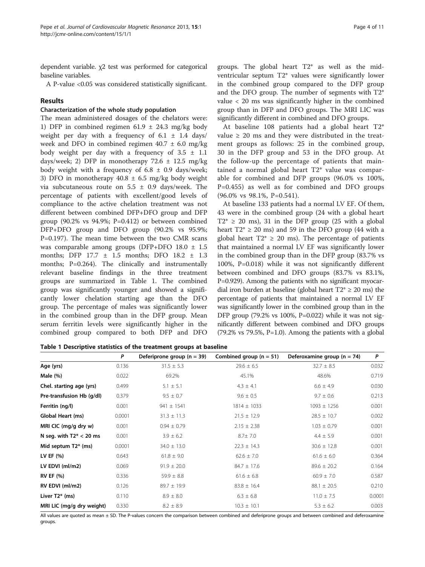<span id="page-3-0"></span>dependent variable. χ2 test was performed for categorical baseline variables.

A P-value <0.05 was considered statistically significant.

# Results

# Characterization of the whole study population

The mean administered dosages of the chelators were: 1) DFP in combined regimen  $61.9 \pm 24.3$  mg/kg body weight per day with a frequency of  $6.1 \pm 1.4$  days/ week and DFO in combined regimen  $40.7 \pm 6.0$  mg/kg body weight per day with a frequency of  $3.5 \pm 1.1$ days/week; 2) DFP in monotherapy  $72.6 \pm 12.5$  mg/kg body weight with a frequency of  $6.8 \pm 0.9$  days/week; 3) DFO in monotherapy  $40.8 \pm 6.5$  mg/kg body weight via subcutaneous route on  $5.5 \pm 0.9$  days/week. The percentage of patients with excellent/good levels of compliance to the active chelation treatment was not different between combined DFP+DFO group and DFP group (90.2% vs 94.9%;  $P=0.412$ ) or between combined DFP+DFO group and DFO group (90.2% vs 95.9%; P=0.197). The mean time between the two CMR scans was comparable among groups (DFP+DFO 18.0 ± 1.5 months; DFP 17.7 ± 1.5 months; DFO 18.2 ± 1.3 months; P=0.264). The clinically and instrumentally relevant baseline findings in the three treatment groups are summarized in Table 1. The combined group was significantly younger and showed a significantly lower chelation starting age than the DFO group. The percentage of males was significantly lower in the combined group than in the DFP group. Mean serum ferritin levels were significantly higher in the combined group compared to both DFP and DFO

groups. The global heart T2\* as well as the midventricular septum T2\* values were significantly lower in the combined group compared to the DFP group and the DFO group. The number of segments with T2\* value < 20 ms was significantly higher in the combined group than in DFP and DFO groups. The MRI LIC was significantly different in combined and DFO groups.

At baseline 108 patients had a global heart T2\* value  $\geq$  20 ms and they were distributed in the treatment groups as follows: 25 in the combined group, 30 in the DFP group and 53 in the DFO group. At the follow-up the percentage of patients that maintained a normal global heart T2\* value was comparable for combined and DFP groups (96.0% vs 100%, P=0.455) as well as for combined and DFO groups (96.0% vs 98.1%, P=0.541).

At baseline 133 patients had a normal LV EF. Of them, 43 were in the combined group (24 with a global heart  $T2^* \geq 20$  ms), 31 in the DFP group (25 with a global heart  $T2^* \geq 20$  ms) and 59 in the DFO group (44 with a global heart  $T2^* \geq 20$  ms). The percentage of patients that maintained a normal LV EF was significantly lower in the combined group than in the DFP group (83.7% vs 100%, P=0.018) while it was not significantly different between combined and DFO groups (83.7% vs 83.1%, P=0.929). Among the patients with no significant myocardial iron burden at baseline (global heart  $T2^* \geq 20$  ms) the percentage of patients that maintained a normal LV EF was significantly lower in the combined group than in the DFP group  $(79.2\% \text{ vs } 100\%, \text{ P=0.022})$  while it was not significantly different between combined and DFO groups (79.2% vs 79.5%,  $P=1.0$ ). Among the patients with a global

Table 1 Descriptive statistics of the treatment groups at baseline

|                            | P      | Deferiprone group $(n = 39)$ | Combined group $(n = 51)$ | Deferoxamine group ( $n = 74$ ) | P      |
|----------------------------|--------|------------------------------|---------------------------|---------------------------------|--------|
| Age (yrs)                  | 0.136  | $31.5 \pm 5.3$               | $29.6 \pm 6.5$            | $32.7 \pm 8.5$                  | 0.032  |
| Male $(\%)$                | 0.022  | 69.2%                        | 45.1%                     | 48.6%                           | 0.719  |
| Chel. starting age (yrs)   | 0.499  | $5.1 \pm 5.1$                | $4.3 \pm 4.1$             | $6.6 \pm 4.9$                   | 0.030  |
| Pre-transfusion Hb (q/dl)  | 0.379  | $9.5 \pm 0.7$                | $9.6 \pm 0.5$             | $9.7 \pm 0.6$                   | 0.213  |
| Ferritin (ng/l)            | 0.001  | $941 \pm 1541$               | $1814 \pm 1033$           | $1093 \pm 1256$                 | 0.001  |
| Global Heart (ms)          | 0.0001 | $31.3 \pm 11.3$              | $21.5 \pm 12.9$           | $28.5 \pm 10.7$                 | 0.002  |
| MRI CIC (mg/g dry w)       | 0.001  | $0.94 \pm 0.79$              | $2.15 \pm 2.38$           | $1.03 \pm 0.79$                 | 0.001  |
| N seg. with $T2^* < 20$ ms | 0.001  | $3.9 \pm 6.2$                | $8.7 \pm 7.0$             | $4.4 \pm 5.9$                   | 0.001  |
| Mid septum T2* (ms)        | 0.0001 | $34.0 \pm 13.0$              | $22.3 \pm 14.3$           | $30.6 \pm 12.8$                 | 0.001  |
| LV EF $(% )$               | 0.643  | $61.8 \pm 9.0$               | $62.6 \pm 7.0$            | $61.6 \pm 6.0$                  | 0.364  |
| LV EDVI (ml/m2)            | 0.069  | $91.9 \pm 20.0$              | $84.7 \pm 17.6$           | $89.6 \pm 20.2$                 | 0.164  |
| <b>RV EF (%)</b>           | 0.336  | $59.9 \pm 8.8$               | $61.6 \pm 6.8$            | $60.9 \pm 7.0$                  | 0.587  |
| RV EDVI (ml/m2)            | 0.126  | $89.7 \pm 19.9$              | $83.8 \pm 16.4$           | $88.1 \pm 20.5$                 | 0.210  |
| Liver T2* (ms)             | 0.110  | $8.9 \pm 8.0$                | $6.3 \pm 6.8$             | $11.0 \pm 7.5$                  | 0.0001 |
| MRI LIC (mg/g dry weight)  | 0.330  | $8.2 \pm 8.9$                | $10.3 \pm 10.1$           | $5.3 \pm 6.2$                   | 0.003  |

All values are quoted as mean  $\pm$  SD. The P-values concern the comparison between combined and deferiprone groups and between combined and deferoxamine groups.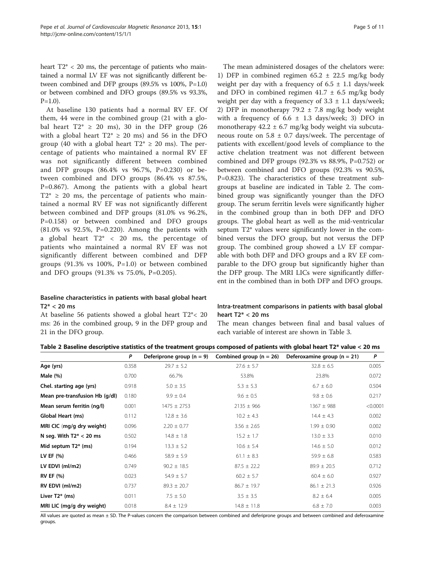heart  $T2^* < 20$  ms, the percentage of patients who maintained a normal LV EF was not significantly different between combined and DFP groups (89.5% vs 100%, P=1.0) or between combined and DFO groups (89.5% vs 93.3%,  $P=1.0$ ).

At baseline 130 patients had a normal RV EF. Of them, 44 were in the combined group (21 with a global heart  $T2^* \geq 20$  ms), 30 in the DFP group (26 with a global heart  $T2^* \ge 20$  ms) and 56 in the DFO group (40 with a global heart  $T2^* \ge 20$  ms). The percentage of patients who maintained a normal RV EF was not significantly different between combined and DFP groups (86.4% vs 96.7%, P=0.230) or between combined and DFO groups (86.4% vs 87.5%, P=0.867). Among the patients with a global heart  $T2^* \geq 20$  ms, the percentage of patients who maintained a normal RV EF was not significantly different between combined and DFP groups (81.0% vs 96.2%, P=0.158) or between combined and DFO groups (81.0% vs 92.5%, P=0.220). Among the patients with a global heart  $T2^* < 20$  ms, the percentage of patients who maintained a normal RV EF was not significantly different between combined and DFP groups  $(91.3\% \text{ vs } 100\%, \text{ P=1.0})$  or between combined and DFO groups (91.3% vs 75.0%, P=0.205).

# Baseline characteristics in patients with basal global heart  $T2* < 20$  ms

At baseline 56 patients showed a global heart T2\*< 20 ms: 26 in the combined group, 9 in the DFP group and 21 in the DFO group.

The mean administered dosages of the chelators were: 1) DFP in combined regimen  $65.2 \pm 22.5$  mg/kg body weight per day with a frequency of  $6.5 \pm 1.1$  days/week and DFO in combined regimen  $41.7 \pm 6.5$  mg/kg body weight per day with a frequency of  $3.3 \pm 1.1$  days/week; 2) DFP in monotherapy  $79.2 \pm 7.8$  mg/kg body weight with a frequency of  $6.6 \pm 1.3$  days/week; 3) DFO in monotherapy  $42.2 \pm 6.7$  mg/kg body weight via subcutaneous route on  $5.8 \pm 0.7$  days/week. The percentage of patients with excellent/good levels of compliance to the active chelation treatment was not different between combined and DFP groups (92.3% vs 88.9%, P=0.752) or between combined and DFO groups (92.3% vs 90.5%, P=0.823). The characteristics of these treatment subgroups at baseline are indicated in Table 2. The combined group was significantly younger than the DFO group. The serum ferritin levels were significantly higher in the combined group than in both DFP and DFO groups. The global heart as well as the mid-ventricular septum T2\* values were significantly lower in the combined versus the DFO group, but not versus the DFP group. The combined group showed a LV EF comparable with both DFP and DFO groups and a RV EF comparable to the DFO group but significantly higher than the DFP group. The MRI LICs were significantly different in the combined than in both DFP and DFO groups.

# Intra-treatment comparisons in patients with basal global heart T2\* < 20 ms

The mean changes between final and basal values of each variable of interest are shown in Table [3.](#page-5-0)

| Table 2 Baseline descriptive statistics of the treatment groups composed of patients with global heart T2* value < 20 ms |  |  |
|--------------------------------------------------------------------------------------------------------------------------|--|--|
|                                                                                                                          |  |  |

|                                | P     | Deferiprone group $(n = 9)$ | Combined group ( $n = 26$ ) | Deferoxamine group ( $n = 21$ ) | P        |
|--------------------------------|-------|-----------------------------|-----------------------------|---------------------------------|----------|
| Age (yrs)                      | 0.358 | $29.7 \pm 5.2$              | $27.6 \pm 5.7$              | $32.8 \pm 6.5$                  | 0.005    |
| Male $(%)$                     | 0.700 | 66.7%                       | 53.8%                       | 23.8%                           | 0.072    |
| Chel. starting age (yrs)       | 0.918 | $5.0 \pm 3.5$               | $5.3 \pm 5.3$               | $6.7 \pm 6.0$                   | 0.504    |
| Mean pre-transfusion Hb (g/dl) | 0.180 | $9.9 \pm 0.4$               | $9.6 \pm 0.5$               | $9.8 \pm 0.6$                   | 0.217    |
| Mean serum ferritin (ng/l)     | 0.001 | $1475 \pm 2753$             | $2135 \pm 966$              | $1367 \pm 988$                  | < 0.0001 |
| Global Heart (ms)              | 0.112 | $12.8 \pm 3.6$              | $10.2 \pm 4.3$              | $14.4 \pm 4.3$                  | 0.002    |
| MRI CIC (mg/g dry weight)      | 0.096 | $2.20 \pm 0.77$             | $3.56 \pm 2.65$             | $1.99 \pm 0.90$                 | 0.002    |
| N seg. With $T2^* < 20$ ms     | 0.502 | $14.8 \pm 1.8$              | $15.2 \pm 1.7$              | $13.0 \pm 3.3$                  | 0.010    |
| Mid septum T2* (ms)            | 0.194 | $13.3 \pm 5.2$              | $10.6 \pm 5.4$              | $14.6 \pm 5.0$                  | 0.012    |
| LV EF $(% )$                   | 0.466 | $58.9 \pm 5.9$              | $61.1 \pm 8.3$              | $59.9 \pm 6.8$                  | 0.583    |
| LV EDVI (ml/m2)                | 0.749 | $90.2 \pm 18.5$             | $87.5 \pm 22.2$             | $89.9 \pm 20.5$                 | 0.712    |
| <b>RV EF (%)</b>               | 0.023 | $54.9 \pm 5.7$              | $60.2 \pm 5.7$              | $60.4 \pm 6.0$                  | 0.927    |
| RV EDVI (ml/m2)                | 0.737 | $89.3 \pm 20.7$             | $86.7 \pm 19.7$             | $86.1 \pm 21.3$                 | 0.926    |
| Liver T2* (ms)                 | 0.011 | $7.5 \pm 5.0$               | $3.5 \pm 3.5$               | $8.2 \pm 6.4$                   | 0.005    |
| MRI LIC (mg/g dry weight)      | 0.018 | $8.4 \pm 12.9$              | $14.8 \pm 11.8$             | $6.8 \pm 7.0$                   | 0.003    |

All values are quoted as mean ± SD. The P-values concern the comparison between combined and deferiprone groups and between combined and deferoxamine groups.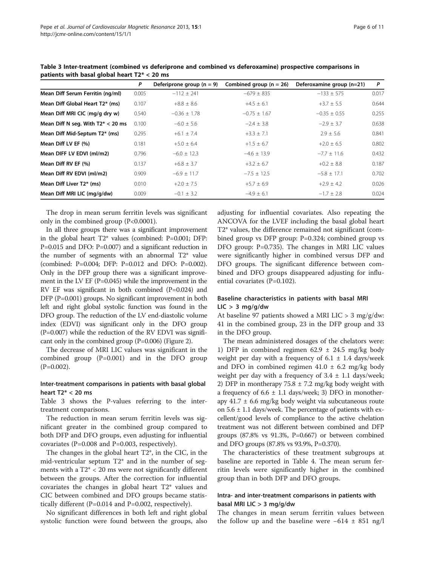|                                      | P     | Deferiprone group $(n = 9)$ | Combined group $(n = 26)$ | Deferoxamine group (n=21) | P     |
|--------------------------------------|-------|-----------------------------|---------------------------|---------------------------|-------|
| Mean Diff Serum Ferritin (ng/ml)     | 0.005 | $-112 \pm 241$              | $-679 \pm 835$            | $-133 \pm 575$            | 0.017 |
| Mean Diff Global Heart T2* (ms)      | 0.107 | $+8.8 \pm 8.6$              | $+4.5 \pm 6.1$            | $+3.7 \pm 5.5$            | 0.644 |
| Mean Diff MRI CIC (mg/g dry w)       | 0.540 | $-0.36 \pm 1.78$            | $-0.75 \pm 1.67$          | $-0.35 \pm 0.55$          | 0.255 |
| Mean Diff N seq. With $T2^* < 20$ ms | 0.100 | $-6.0 \pm 5.6$              | $-2.4 \pm 3.8$            | $-2.9 \pm 3.7$            | 0.638 |
| Mean Diff Mid-Septum T2* (ms)        | 0.295 | $+6.1 \pm 7.4$              | $+3.3 \pm 7.1$            | $2.9 \pm 5.6$             | 0.841 |
| Mean Diff LV EF (%)                  | 0.181 | $+5.0 \pm 6.4$              | $+1.5 \pm 6.7$            | $+2.0 + 6.5$              | 0.802 |
| Mean DIFF LV EDVI (ml/m2)            | 0.796 | $-6.0 \pm 12.3$             | $-4.6 + 13.9$             | $-7.7 + 11.6$             | 0.432 |
| Mean Diff RV EF (%)                  | 0.137 | $+6.8 \pm 3.7$              | $+3.2 \pm 6.7$            | $+0.2 \pm 8.8$            | 0.187 |
| Mean Diff RV EDVI (ml/m2)            | 0.909 | $-6.9 \pm 11.7$             | $-7.5 \pm 12.5$           | $-5.8 \pm 17.1$           | 0.702 |
| Mean Diff Liver T2* (ms)             | 0.010 | $+2.0 \pm 7.5$              | $+5.7 \pm 6.9$            | $+2.9 \pm 4.2$            | 0.026 |
| Mean Diff MRI LIC (mg/g/dw)          | 0.009 | $-0.1 \pm 3.2$              | $-4.9 + 6.1$              | $-1.7 + 2.8$              | 0.024 |

<span id="page-5-0"></span>Table 3 Inter-treatment (combined vs deferiprone and combined vs deferoxamine) prospective comparisons in patients with basal global heart T2\* < 20 ms

The drop in mean serum ferritin levels was significant only in the combined group (P<0.0001).

In all three groups there was a significant improvement in the global heart T2\* values (combined: P=0.001; DFP: P=0.015 and DFO: P=0.007) and a significant reduction in the number of segments with an abnormal T2\* value (combined: P=0.004; DFP: P=0.012 and DFO: P=0.002). Only in the DFP group there was a significant improvement in the LV EF (P=0.045) while the improvement in the RV EF was significant in both combined (P=0.024) and DFP (P=0.001) groups. No significant improvement in both left and right global systolic function was found in the DFO group. The reduction of the LV end-diastolic volume index (EDVI) was significant only in the DFO group  $(P=0.007)$  while the reduction of the RV EDVI was significant only in the combined group (P=0.006) (Figure [2\)](#page-6-0).

The decrease of MRI LIC values was significant in the combined group (P=0.001) and in the DFO group  $(P=0.002)$ .

# Inter-treatment comparisons in patients with basal global heart T2\* < 20 ms

Table 3 shows the P-values referring to the intertreatment comparisons.

The reduction in mean serum ferritin levels was significant greater in the combined group compared to both DFP and DFO groups, even adjusting for influential covariates (P=0.008 and P=0.003, respectively).

The changes in the global heart T2\*, in the CIC, in the mid-ventricular septum T2\* and in the number of segments with a  $T2^* < 20$  ms were not significantly different between the groups. After the correction for influential covariates the changes in global heart T2\* values and CIC between combined and DFO groups became statistically different (P=0.014 and P=0.002, respectively).

No significant differences in both left and right global systolic function were found between the groups, also adjusting for influential covariates. Also repeating the ANCOVA for the LVEF including the basal global heart T2\* values, the difference remained not significant (combined group vs DFP group: P=0.324; combined group vs DFO group: P=0.735). The changes in MRI LIC values were significantly higher in combined versus DFP and DFO groups. The significant difference between combined and DFO groups disappeared adjusting for influential covariates (P=0.102).

# Baseline characteristics in patients with basal MRI  $LIC > 3$  mg/g/dw

At baseline 97 patients showed a MRI LIC  $> 3$  mg/g/dw: 41 in the combined group, 23 in the DFP group and 33 in the DFO group.

The mean administered dosages of the chelators were: 1) DFP in combined regimen 62.9  $\pm$  24.5 mg/kg body weight per day with a frequency of  $6.1 \pm 1.4$  days/week and DFO in combined regimen  $41.0 \pm 6.2$  mg/kg body weight per day with a frequency of  $3.4 \pm 1.1$  days/week; 2) DFP in montherapy  $75.8 \pm 7.2$  mg/kg body weight with a frequency of  $6.6 \pm 1.1$  days/week; 3) DFO in monotherapy 41.7 ± 6.6 mg/kg body weight via subcutaneous route on  $5.6 \pm 1.1$  days/week. The percentage of patients with excellent/good levels of compliance to the active chelation treatment was not different between combined and DFP groups (87.8% vs 91.3%, P=0.667) or between combined and DFO groups (87.8% vs 93.9%, P=0.370).

The characteristics of these treatment subgroups at baseline are reported in Table [4](#page-7-0). The mean serum ferritin levels were significantly higher in the combined group than in both DFP and DFO groups.

# Intra- and inter-treatment comparisons in patients with basal MRI LIC > 3 mg/g/dw

The changes in mean serum ferritin values between the follow up and the baseline were  $-614$  ± 851 ng/l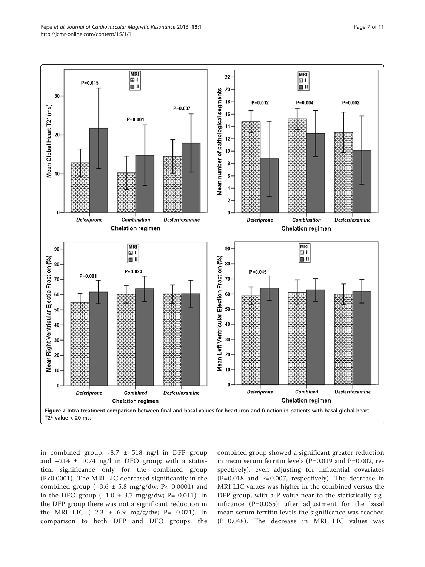<span id="page-6-0"></span>

in combined group,  $-8.7 \pm 518$  ng/l in DFP group and −214 ± 1074 ng/l in DFO group; with a statistical significance only for the combined group (P<0.0001). The MRI LIC decreased significantly in the combined group  $(-3.6 \pm 5.8 \text{ mg/g/dw}; P < 0.0001)$  and in the DFO group  $(-1.0 \pm 3.7 \text{ mg/g/dw};$  P= 0.011). In the DFP group there was not a significant reduction in the MRI LIC (−2.3 ± 6.9 mg/g/dw; P= 0.071). In comparison to both DFP and DFO groups, the

combined group showed a significant greater reduction in mean serum ferritin levels (P=0.019 and P=0.002, respectively), even adjusting for influential covariates (P=0.018 and P=0.007, respectively). The decrease in MRI LIC values was higher in the combined versus the DFP group, with a P-value near to the statistically significance (P=0.065); after adjustment for the basal mean serum ferritin levels the significance was reached (P=0.048). The decrease in MRI LIC values was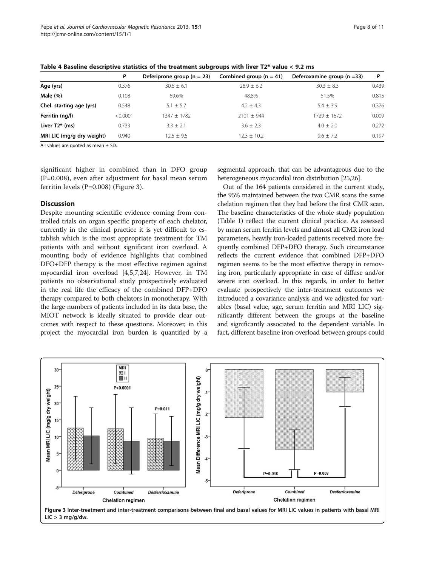|                           | P        | Deferiprone group ( $n = 23$ ) | Combined group $(n = 41)$ | Deferoxamine group $(n = 33)$ | D     |
|---------------------------|----------|--------------------------------|---------------------------|-------------------------------|-------|
| Age (yrs)                 | 0.376    | $30.6 + 6.1$                   | $78.9 + 6.2$              | $30.3 \pm 8.3$                | 0.439 |
| Male $(%)$                | 0.108    | 69.6%                          | 48.8%                     | 51.5%                         | 0.815 |
| Chel. starting age (yrs)  | 0.548    | $5.1 + 5.7$                    | $4.2 + 4.3$               | $5.4 + 3.9$                   | 0.326 |
| Ferritin (ng/l)           | < 0.0001 | 1347 + 1782                    | $2101 + 944$              | 1729 + 1672                   | 0.009 |
| Liver $T2^*$ (ms)         | 0.733    | $3.3 + 2.1$                    | $3.6 + 2.3$               | $4.0 + 2.0$                   | 0.272 |
| MRI LIC (mg/g dry weight) | 0.940    | $12.5 + 9.5$                   | $12.3 \pm 10.2$           | $9.6 + 7.2$                   | 0.197 |

<span id="page-7-0"></span>Table 4 Baseline descriptive statistics of the treatment subgroups with liver T2\* value < 9.2 ms

All values are quoted as mean ± SD.

significant higher in combined than in DFO group (P=0.008), even after adjustment for basal mean serum ferritin levels (P=0.008) (Figure 3).

#### **Discussion**

Despite mounting scientific evidence coming from controlled trials on organ specific property of each chelator, currently in the clinical practice it is yet difficult to establish which is the most appropriate treatment for TM patients with and without significant iron overload. A mounting body of evidence highlights that combined DFO+DFP therapy is the most effective regimen against myocardial iron overload [[4](#page-9-0),[5,7,](#page-9-0)[24\]](#page-10-0). However, in TM patients no observational study prospectively evaluated in the real life the efficacy of the combined DFP+DFO therapy compared to both chelators in monotherapy. With the large numbers of patients included in its data base, the MIOT network is ideally situated to provide clear outcomes with respect to these questions. Moreover, in this project the myocardial iron burden is quantified by a

segmental approach, that can be advantageous due to the heterogeneous myocardial iron distribution [\[25,26\]](#page-10-0).

Out of the 164 patients considered in the current study, the 95% maintained between the two CMR scans the same chelation regimen that they had before the first CMR scan. The baseline characteristics of the whole study population (Table [1\)](#page-3-0) reflect the current clinical practice. As assessed by mean serum ferritin levels and almost all CMR iron load parameters, heavily iron-loaded patients received more frequently combined DFP+DFO therapy. Such circumstance reflects the current evidence that combined DFP+DFO regimen seems to be the most effective therapy in removing iron, particularly appropriate in case of diffuse and/or severe iron overload. In this regards, in order to better evaluate prospectively the inter-treatment outcomes we introduced a covariance analysis and we adjusted for variables (basal value, age, serum ferritin and MRI LIC) significantly different between the groups at the baseline and significantly associated to the dependent variable. In fact, different baseline iron overload between groups could



Figure 3 Inter-treatment and inter-treatment comparisons between final and basal values for MRI LIC values in patients with basal MRI  $LIC > 3$  mg/g/dw.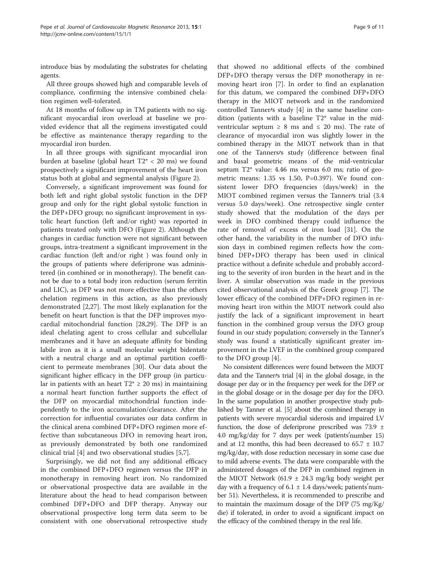introduce bias by modulating the substrates for chelating agents.

All three groups showed high and comparable levels of compliance, confirming the intensive combined chelation regimen well-tolerated.

At 18 months of follow up in TM patients with no significant myocardial iron overload at baseline we provided evidence that all the regimens investigated could be effective as maintenance therapy regarding to the myocardial iron burden.

In all three groups with significant myocardial iron burden at baseline (global heart  $T2^* < 20$  ms) we found prospectively a significant improvement of the heart iron status both at global and segmental analysis (Figure [2\)](#page-6-0).

Conversely, a significant improvement was found for both left and right global systolic function in the DFP group and only for the right global systolic function in the DFP+DFO group; no significant improvement in systolic heart function (left and/or right) was reported in patients treated only with DFO (Figure [2](#page-6-0)). Although the changes in cardiac function were not significant between groups, intra-treatment a significant improvement in the cardiac function (left and/or right ) was found only in the groups of patients where deferiprone was administered (in combined or in monotherapy). The benefit cannot be due to a total body iron reduction (serum ferritin and LIC), as DFP was not more effective than the others chelation regimens in this action, as also previously demonstrated [\[2](#page-9-0)[,27](#page-10-0)]. The most likely explanation for the benefit on heart function is that the DFP improves myocardial mitochondrial function [[28,29](#page-10-0)]. The DFP is an ideal chelating agent to cross cellular and subcellular membranes and it have an adequate affinity for binding labile iron as it is a small molecular weight bidentate with a neutral charge and an optimal partition coefficient to permeate membranes [[30](#page-10-0)]. Our data about the significant higher efficacy in the DFP group (in particular in patients with an heart  $T2 \approx 20$  ms) in maintaining a normal heart function further supports the effect of the DFP on myocardial mitochondrial function independently to the iron accumulation/clearance. After the correction for influential covariates our data confirm in the clinical arena combined DFP+DFO regimen more effective than subcutaneous DFO in removing heart iron, as previously demonstrated by both one randomized clinical trial [[4\]](#page-9-0) and two observational studies [[5,7\]](#page-9-0).

Surprisingly, we did not find any additional efficacy in the combined DFP+DFO regimen versus the DFP in monotherapy in removing heart iron. No randomized or observational prospective data are available in the literature about the head to head comparison between combined DFP+DFO and DFP therapy. Anyway our observational prospective long term data seem to be consistent with one observational retrospective study

that showed no additional effects of the combined DFP+DFO therapy versus the DFP monotherapy in removing heart iron [\[7](#page-9-0)]. In order to find an explanation for this datum, we compared the combined DFP+DFO therapy in the MIOT network and in the randomized controlled Tanner's study  $[4]$  $[4]$  in the same baseline condition (patients with a baseline T2\* value in the midventricular septum  $\geq 8$  ms and  $\leq 20$  ms). The rate of clearance of myocardial iron was slightly lower in the combined therapy in the MIOT network than in that one of the Tanners's study (difference between final and basal geometric means of the mid-ventricular septum T2\* value: 4.46 ms versus 6.0 ms; ratio of geometric means: 1.35 vs 1.50, P=0.397). We found consistent lower DFO frequencies (days/week) in the MIOT combined regimen versus the Tanner's trial (3.4 versus 5.0 days/week). One retrospective single center study showed that the modulation of the days per week in DFO combined therapy could influence the rate of removal of excess of iron load [[31\]](#page-10-0). On the other hand, the variability in the number of DFO infusion days in combined regimen reflects how the combined DFP+DFO therapy has been used in clinical practice without a definite schedule and probably according to the severity of iron burden in the heart and in the liver. A similar observation was made in the previous cited observational analysis of the Greek group [[7](#page-9-0)]. The lower efficacy of the combined DFP+DFO regimen in removing heart iron within the MIOT network could also justify the lack of a significant improvement in heart function in the combined group versus the DFO group found in our study population; conversely in the Tanner's study was found a statistically significant greater improvement in the LVEF in the combined group compared to the DFO group [[4\]](#page-9-0).

No consistent differences were found between the MIOT data and the Tanner's trial  $[4]$  $[4]$  $[4]$  in the global dosage, in the dosage per day or in the frequency per week for the DFP or in the global dosage or in the dosage per day for the DFO. In the same population in another prospective study published by Tanner et al. [[5](#page-9-0)] about the combined therapy in patients with severe myocardial siderosis and impaired LV function, the dose of deferiprone prescribed was  $73.9 \pm 1$ 4.0 mg/kg/day for 7 days per week (patients'number 15) and at 12 months, this had been decreased to  $65.7 \pm 10.7$ mg/kg/day, with dose reduction necessary in some case due to mild adverse events. The data were comparable with the administered dosages of the DFP in combined regimen in the MIOT Network (61.9  $\pm$  24.3 mg/kg body weight per day with a frequency of  $6.1 \pm 1.4$  days/week; patients'number 51). Nevertheless, it is recommended to prescribe and to maintain the maximum dosage of the DFP (75 mg/Kg/ die) if tolerated, in order to avoid a significant impact on the efficacy of the combined therapy in the real life.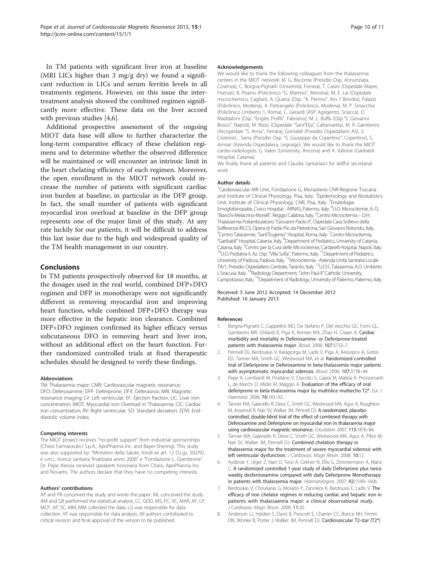<span id="page-9-0"></span>In TM patients with significant liver iron at baseline (MRI LICs higher than  $3 \text{ mg/g dry}$ ) we found a significant reduction in LICs and serum ferritin levels in all treatments regimens. However, on this issue the intertreatment analysis showed the combined regimen significantly more effective. These data on the liver accord with previous studies [4,6].

Additional prospective assessment of the ongoing MIOT data base will allow to further characterize the long-term comparative efficacy of these chelation regimens and to determine whether the observed difference will be maintained or will encounter an intrinsic limit in the heart chelating efficiency of each regimen. Moreover, the open enrollment in the MIOT network could increase the number of patients with significant cardiac iron burden at baseline, in particular in the DFP group. In fact, the small number of patients with significant myocardial iron overload at baseline in the DFP group represents one of the major limit of this study. At any rate luckily for our patients, it will be difficult to address this last issue due to the high and widespread quality of the TM health management in our country.

# Conclusions

In TM patients prospectively observed for 18 months, at the dosages used in the real world, combined DFP+DFO regimen and DFP in monotherapy were not significantly different in removing myocardial iron and improving heart function, while combined DFP+DFO therapy was more effective in the hepatic iron clearance. Combined DFP+DFO regimen confirmed its higher efficacy versus subcutaneous DFO in removing heart and liver iron, without an additional effect on the heart function. Further randomized controlled trials at fixed therapeutic schedules should be designed to verify these findings.

#### Abbreviations

TM: Thalassemia major; CMR: Cardiovascular magnetic resonance; DFO: Deferoxamine; DFP: Deferiprone; DFX: Deferasirox; MRI: Magnetic resonance imaging; LV: Left ventricular; EF: Ejection fraction; LIC: Liver iron concentration; MIOT: Myocardial Iron Overload in Thalassemia; CIC: Cardiac iron concentration; RV: Right ventricular; SD: Standard deviation; EDVI: Enddiastolic volume index.

#### Competing interests

The MIOT project receives "no-profit support" from industrial sponsorships (Chiesi Farmaceutici S.p.A., ApoPharma Inc. and Bayer-Shering). This study was also supported by: "Ministero della Salute, fondi ex art. 12 D.Lgs. 502/92 e s.m.i., ricerca sanitaria finalizzata anno 2006" e "Fondazione L. Giambrone". Dr. Pepe Alessia received speaker/s honoraria from Chiesi, ApoPharma Inc. and Novartis. The authors declare that they have no competing interests.

#### Authors' contributions

AP and PR conceived the study and wrote the paper. ML conceived the study. AM and GR performed the statistical analysis. LC, GDD, MS, PC, VC, MAR, AF, LP, MCP, AP, SC, MM, MM collected the data. LG was responsible for data collection. VP was responsible for data analysis. All authors contributed to critical revision and final approval of the version to be published.

#### Acknowledgements

We would like to thank the following colleagues from the thalassemia centers in the MIOT network: M. G. Bisconte (Presidio Osp. Annunziata, Cosenza), C. Borgna-Pignatti (Università, Ferrara), T. Casini (Ospedale Mayer, Firenze), B. Piraino (Policlinico "G. Martino", Messina), M. E. Lai (Ospedale microcitemico, Cagliari), A. Quarta (Osp. "A. Perrino", Km 7 Brindisi), Palazzi (Policlinico, Modena), A. Pietrangelo (Policlinico, Modena), M. P. Smacchia (Policlinico Umberto 1, Roma), C. Gerardi (ASP Agrigento, Sciacca), D. Maddaloni (Osp. "Engles Profili", Fabriano), M. L. Boffa (Osp."S. Giovanni Bosco", Napoli), M. Rizzo (Ospedale "Sant'Elia", Caltanisetta), M. R. Gamberini (Arcispedale "S. Anna", Ferrara), Grimaldi (Presidio Ospedaliero ASL 5, Crotone), . Serra (Presidio Osp. "S. Giuseppe da Copertino", Copertino), S. Armari (Azienda Ospedaliera, Legnago). We would like to thank the MIOT cardio-radiologists: G. Valeri (University, Ancona) and A. Vallone (Garibaldi Hospital, Catania).

We finally thank all patients and Claudia Santarlasci for skillful secretarial work.

#### Author details

<sup>1</sup> Cardiovascular MR Unit, Fondazione G, Monasterio CNR-Regione Toscana and Institute of Clinical Physiology, Pisa, Italy. <sup>2</sup>Epidemiology and Biostatistics Unit, Institute of Clinical Physiology, CNR, Pisa, Italy. <sup>3</sup>Ematologia-Emoglobinopatie, Civico Hospital - ARNAS, Palermo, Italy. <sup>4</sup>U.O. Microcitemie, A. O "Bianchi-Melacrino-Morelli", Reggio Calabria, Italy. <sup>5</sup>Centro Microcitemia - D.H. Thalassemia Poliambulatorio "Giovanni Paolo II", Ospedale Casa Sollievo della Sofferenza IRCCS, Opera di Padre Pio da Pietrelcina, San Giovanni Rotondo, Italy. <sup>6</sup>Centro Talassemie, "Sant'Eugenio" Hospital, Roma, Italy. <sup>7</sup>Centro Microcitemia "Garibaldi" Hospital, Catania, Italy. <sup>8</sup>Department of Pediatrics, University of Catania, Catania, Italy. <sup>9</sup>Centro per la Cura delle Microcitemie, Cardarelli Hospital, Napoli, Italy. <sup>10</sup>U.O. Pediatria II, Az. Osp. "Villa Sofia", Palermo, Italy. <sup>11</sup>Department of Pediatrics, University of Padova, Padova, Italy. 12Microcitemia - Azienda Unità Sanitaria Locale TA/1, Presidio Ospedaliero Centrale, Taranto, Italy. 13U.O.S. Talassemia, A.O. Umberto I, Siracusa, Italy. <sup>14</sup>Radiology Department, "John Paul II" Catholic University, Campobasso, Italy. <sup>15</sup>Department of Radiology, University of Palermo, Palermo, Italy.

#### Received: 5 June 2012 Accepted: 14 December 2012 Published: 16 January 2013

#### References

- 1. Borgna-Pignatti C, Cappellini MD, De Stefano P, Del Vecchio GC, Forni GL, Gamberini MR, Ghilardi R, Piga A, Romeo MA, Zhao H, Cnaan A. Cardiac morbidity and mortality in Deferoxamine- or Deferiprone-treated patients with thalassemia major. Blood. 2006; 107:3733–7.
- 2. Pennell DJ, Berdoukas V, Karagiorga M, Ladis V, Piga A, Aessopos A, Gotsis ED, Tanner MA, Smith GC, Westwood MA, et al. Randomized controlled trial of Deferiprone or Deferoxamine in beta-thalassemia major patients with asymptomatic myocardial siderosis. Blood. 2006; 107:3738–44.
- 3. Pepe A, Lombardi M, Positano V, Cracolici E, Capra M, Malizia R, Prossomariti L, de Marchi D, Midiri M, Maggio A. Evaluation of the efficacy of oral deferiprone in beta-thalassemia major by multislice multiecho T2\*. Eur J Haematol. 2006; 76:183–92.
- 4. Tanner MA, Galanello R, Dessi C, Smith GC, Westwood MA, Agus A, Roughton M, Assomull R, Nair SV, Walker JM, Pennell DJ. A randomized, placebocontrolled, double-blind trial of the effect of combined therapy with Deferoxamine and Deferiprone on myocardial iron in thalassemia major using cardiovascular magnetic resonance. Circulation. 2007; 115:1876–84.
- 5. Tanner MA, Galanello R, Dessi C, Smith GC, Westwood MA, Agus A, Pibiri M, Nair SV, Walker JM, Pennell DJ. Combined chelation therapy in thalassemia major for the treatment of severe myocardial siderosis with left ventricular dysfunction. J Cardiovasc Magn Reson. 2008; 10:12.
- 6. Aydinok Y, Ulger Z, Nart D, Terzi A, Cetiner N, Ellis G, Zimmermann A, Manz C. A randomized controlled 1-year study of daily Deferiprone plus twice weekly desferrioxamine compared with daily Deferiprone Monotherapy in patients with thalassemia major. Haematologica. 2007; 92:1599–1606.
- 7. Berdoukas V, Chouliaras G, Moraitis P, Zannikos K, Berdoussi E, Ladis V. The efficacy of iron chelator regimes in reducing cardiac and hepatic iron in patients with thalassaemia major: a clinical observational study. J Cardiovasc Magn Reson. 2009; 11:20.
- 8. Anderson LJ, Holden S, Davis B, Prescott E, Charrier CC, Bunce NH, Firmin DN, Wonke B, Porter J, Walker JM, Pennell DJ. Cardiovascular T2-star (T2\*)